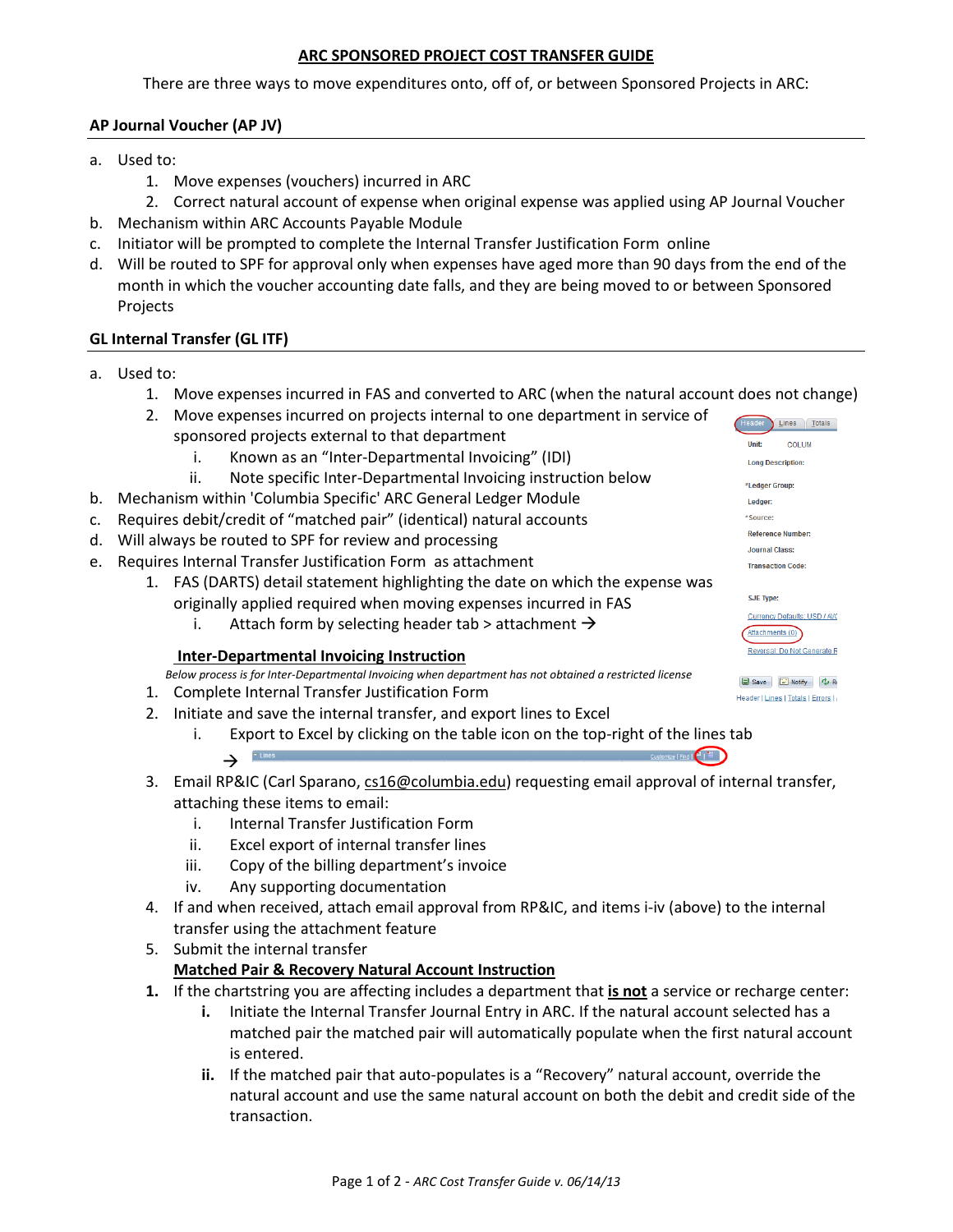### **ARC SPONSORED PROJECT COST TRANSFER GUIDE**

There are three ways to move expenditures onto, off of, or between Sponsored Projects in ARC:

# **AP Journal Voucher (AP JV)**

- a. Used to:
	- 1. Move expenses (vouchers) incurred in ARC
	- 2. Correct natural account of expense when original expense was applied using AP Journal Voucher
- b. Mechanism within ARC Accounts Payable Module
- c. Initiator will be prompted to complete the Internal Transfer Justification Form online
- d. Will be routed to SPF for approval only when expenses have aged more than 90 days from the end of the month in which the voucher accounting date falls, and they are being moved to or between Sponsored Projects

# **GL Internal Transfer (GL ITF)**

- a. Used to:
	- 1. Move expenses incurred in FAS and converted to ARC (when the natural account does not change)
	- 2. Move expenses incurred on projects internal to one department in service of sponsored projects external to that department
		- i. Known as an "Inter-Departmental Invoicing" (IDI)
		- ii. Note specific Inter-Departmental Invoicing instruction below
- b. Mechanism within 'Columbia Specific' ARC General Ledger Module
- c. Requires debit/credit of "matched pair" (identical) natural accounts
- d. Will always be routed to SPF for review and processing
- e. Requires Internal Transfer Justification Form as attachment
	- 1. FAS (DARTS) detail statement highlighting the date on which the expense was originally applied required when moving expenses incurred in FAS
		- i. Attach form by selecting header tab > attachment  $\rightarrow$

### **Inter-Departmental Invoicing Instruction**

 *Below process is for Inter-Departmental Invoicing when department has not obtained a restricted license*

- 1. Complete Internal Transfer Justification Form
- 2. Initiate and save the internal transfer, and export lines to Excel
	- i. Export to Excel by clicking on the table icon on the top-right of the lines tab
		- $\rightarrow$ **Customize | End | 4 | 111**
- 3. Email RP&IC (Carl Sparano, [cs16@columbia.edu\)](mailto:cs16@columbia.edu) requesting email approval of internal transfer, attaching these items to email:
	- i. Internal Transfer Justification Form
	- ii. Excel export of internal transfer lines
	- iii. Copy of the billing department's invoice
	- iv. Any supporting documentation
- 4. If and when received, attach email approval from RP&IC, and items i-iv (above) to the internal transfer using the attachment feature
- 5. Submit the internal transfer

### **Matched Pair & Recovery Natural Account Instruction**

- **1.** If the chartstring you are affecting includes a department that **is not** a service or recharge center:
	- **i.** Initiate the Internal Transfer Journal Entry in ARC. If the natural account selected has a matched pair the matched pair will automatically populate when the first natural account is entered.
	- **ii.** If the matched pair that auto-populates is a "Recovery" natural account, override the natural account and use the same natural account on both the debit and credit side of the transaction.

Header Lines Totals COLUM Unit: Long Description: \*Ledger Group: Ledger **Reference Number** Journal Class: **Transaction Code: SJE Type:** Currency Defaults: USD / AVC Attachments (0) Reversal: Do Not Generate R

Save E Notify C R Header | Lines | Totals | Errors |